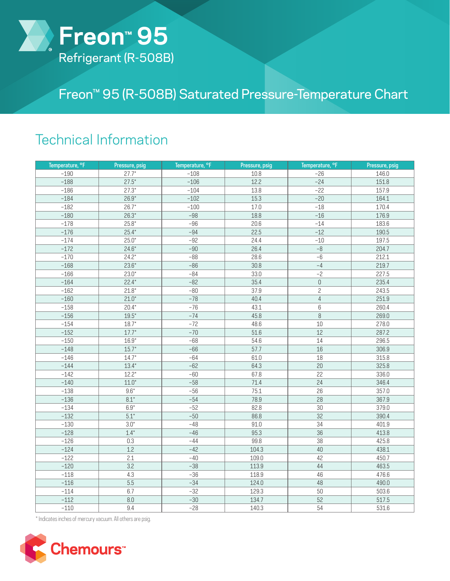

## Freon™ 95 (R-508B) Saturated Pressure-Temperature Chart

## Technical Information

| Temperature, °F | Pressure, psig | Temperature, °F | Pressure, psig | Temperature, °F     | Pressure, psig |
|-----------------|----------------|-----------------|----------------|---------------------|----------------|
| $-190$          | $27.7*$        | $-108$          | 10.8           | $-26$               | 146.0          |
| $-188$          | $27.5*$        | $-106$          | 12.2           | $-24$               | 151.8          |
| $-186$          | $27.3*$        | $-104$          | 13.8           | $-22$               | 157.9          |
| $-184$          | $26.9*$        | $-102$          | 15.3           | $-20$               | 164.1          |
| $-182$          | $26.7*$        | $-100$          | 17.0           | $-18$               | 170.4          |
| $-180$          | $26.3*$        | $-98$           | 18.8           | $-16$               | 176.9          |
| $-178$          | $25.8*$        | $-96$           | 20.6           | $-14$               | 183.6          |
| $-176$          | $25.4*$        | $-94$           | 22.5           | $-12$               | 190.5          |
| $-174$          | $25.0*$        | $-92$           | 24.4           | $-10$               | 197.5          |
| $-172$          | $24.6*$        | $-90$           | 26.4           | $\overline{-8}$     | 204.7          |
| $-170$          | $24.2*$        | $-88$           | 28.6           | $-6$                | 212.1          |
| $-168$          | $23.6*$        | $-86$           | 30.8           | $-4$                | 219.7          |
| $-166$          | $23.0*$        | $-84$           | 33.0           | $-2$                | 227.5          |
| $-164$          | $22.4*$        | $-82$           | 35.4           | $\mathsf{O}\xspace$ | 235.4          |
| $-162$          | $21.8*$        | $-80$           | 37.9           | $\overline{c}$      | 243.5          |
| $-160$          | $21.0*$        | $-78$           | 40.4           | $\overline{4}$      | 251.9          |
| $-158$          | $20.4*$        | $-76$           | 43.1           | $6\,$               | 260.4          |
| $-156$          | $19.5*$        | $-74$           | 45.8           | $\overline{\bf 8}$  | 269.0          |
| $-154$          | $18.7*$        | $-72$           | 48.6           | 10                  | 278.0          |
| $-152$          | $17.7*$        | $-70$           | 51.6           | 12                  | 287.2          |
| $-150$          | $16.9*$        | $-68$           | 54.6           | 14                  | 296.5          |
| $-148$          | $15.7*$        | $-66$           | 57.7           | 16                  | 306.9          |
| $-146$          | $14.7*$        | $-64$           | 61.0           | 18                  | 315.8          |
| $-144$          | $13.4*$        | $-62$           | 64.3           | 20                  | 325.8          |
| $-142$          | $12.2*$        | $-60$           | 67.8           | 22                  | 336.0          |
| $-140$          | $11.0*$        | $-58$           | 71.4           | 24                  | 346.4          |
| $-138$          | $9.6*$         | $-56$           | 75.1           | 26                  | 357.0          |
| $-136$          | $8.1*$         | $-54$           | 78.9           | 28                  | 367.9          |
| $-134$          | $6.9^{\star}$  | $-52$           | 82.8           | $30\,$              | 379.0          |
| $-132$          | $5.1*$         | $-50$           | 86.8           | 32                  | 390.4          |
| $-130$          | $3.0*$         | $-48$           | 91.0           | 34                  | 401.9          |
| $-128$          | $1.4*$         | $-46$           | 95.3           | 36                  | 413.8          |
| $-126$          | 0.3            | $-44$           | 99.8           | 38                  | 425.8          |
| $-124$          | 1.2            | $-42$           | 104.3          | 40                  | 438.1          |
| $-122$          | 2.1            | $-40$           | 109.0          | 42                  | 450.7          |
| $-120$          | 3.2            | $-38$           | 113.9          | 44                  | 463.5          |
| $-118$          | 4.3            | $-36$           | 118.9          | 46                  | 476.6          |
| $-116$          | 5.5            | $-34$           | 124.0          | 48                  | 490.0          |
| $-114$          | 6.7            | $-32$           | 129.3          | $50\,$              | 503.6          |
| $-112$          | $8.0\,$        | $-30$           | 134.7          | 52                  | 517.5          |
| $-110$          | 9.4            | $-28$           | 140.3          | 54                  | 531.6          |

\* Indicates inches of mercury vacuum. All others are psig.